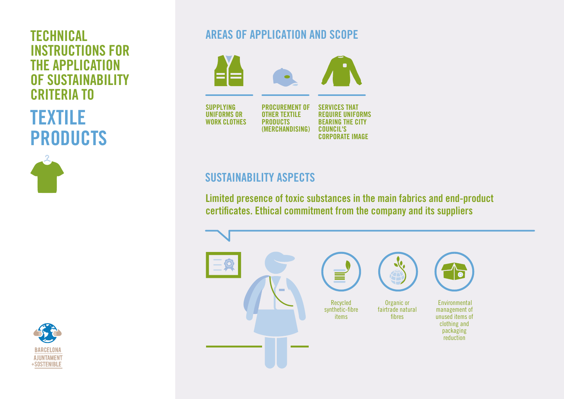# INSTRUCTIONS FOR THE APPLICATION OF SUSTAINABILITY CRITERIA TO

TEXTILE PRODUCTS





# **TECHNICAL AREAS OF APPLICATION AND SCOPE**



# SUSTAINABILITY ASPECTS

Limited presence of toxic substances in the main fabrics and end-product certificates. Ethical commitment from the company and its suppliers

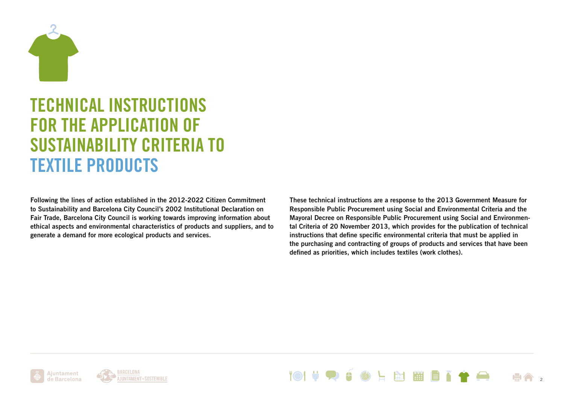

# TECHNICAL INSTRUCTIONS FOR THE APPLICATION OF SUSTAINABILITY CRITERIA TO TEXTILE PRODUCTS

Following the lines of action established in the 2012-2022 Citizen Commitment to Sustainability and Barcelona City Council's 2002 Institutional Declaration on Fair Trade, Barcelona City Council is working towards improving information about ethical aspects and environmental characteristics of products and suppliers, and to generate a demand for more ecological products and services.

These technical instructions are a response to the 2013 Government Measure for Responsible Public Procurement using Social and Environmental Criteria and the Mayoral Decree on Responsible Public Procurement using Social and Environmental Criteria of 20 November 2013, which provides for the publication of technical instructions that define specific environmental criteria that must be applied in the purchasing and contracting of groups of products and services that have been defined as priorities, which includes textiles (work clothes).



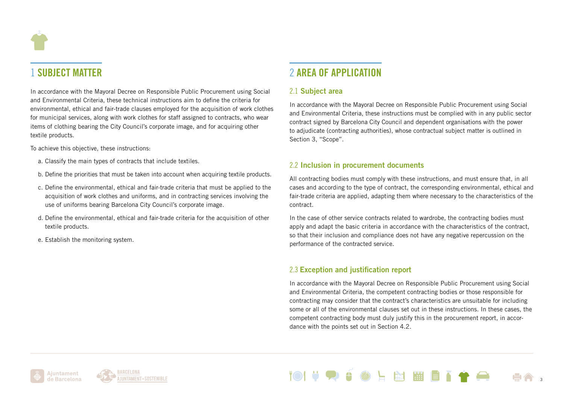# 1 SUBJECT MATTER

In accordance with the Mayoral Decree on Responsible Public Procurement using Social and Environmental Criteria, these technical instructions aim to define the criteria for environmental, ethical and fair-trade clauses employed for the acquisition of work clothes for municipal services, along with work clothes for staff assigned to contracts, who wear items of clothing bearing the City Council's corporate image, and for acquiring other textile products.

To achieve this objective, these instructions:

- a. Classify the main types of contracts that include textiles.
- b. Define the priorities that must be taken into account when acquiring textile products.
- c. Define the environmental, ethical and fair-trade criteria that must be applied to the acquisition of work clothes and uniforms, and in contracting services involving the use of uniforms bearing Barcelona City Council's corporate image.
- d. Define the environmental, ethical and fair-trade criteria for the acquisition of other textile products.
- e. Establish the monitoring system.

# 2 AREA OF APPLICATION

### 2.1 Subject area

In accordance with the Mayoral Decree on Responsible Public Procurement using Social and Environmental Criteria, these instructions must be complied with in any public sector contract signed by Barcelona City Council and dependent organisations with the power to adjudicate (contracting authorities), whose contractual subject matter is outlined in Section 3, "Scope".

### 2.2 Inclusion in procurement documents

All contracting bodies must comply with these instructions, and must ensure that, in all cases and according to the type of contract, the corresponding environmental, ethical and fair-trade criteria are applied, adapting them where necessary to the characteristics of the contract.

In the case of other service contracts related to wardrobe, the contracting bodies must apply and adapt the basic criteria in accordance with the characteristics of the contract, so that their inclusion and compliance does not have any negative repercussion on the performance of the contracted service.

## 2.3 Exception and justification report

In accordance with the Mayoral Decree on Responsible Public Procurement using Social and Environmental Criteria, the competent contracting bodies or those responsible for contracting may consider that the contract's characteristics are unsuitable for including some or all of the environmental clauses set out in these instructions. In these cases, the competent contracting body must duly justify this in the procurement report, in accordance with the points set out in Section 4.2.



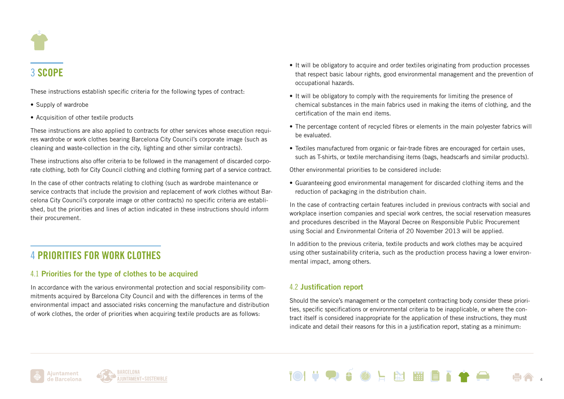

# 3 SCOPE

These instructions establish specific criteria for the following types of contract:

- Supply of wardrobe
- Acquisition of other textile products

These instructions are also applied to contracts for other services whose execution requires wardrobe or work clothes bearing Barcelona City Council's corporate image (such as cleaning and waste-collection in the city, lighting and other similar contracts).

These instructions also offer criteria to be followed in the management of discarded corporate clothing, both for City Council clothing and clothing forming part of a service contract.

In the case of other contracts relating to clothing (such as wardrobe maintenance or service contracts that include the provision and replacement of work clothes without Barcelona City Council's corporate image or other contracts) no specific criteria are established, but the priorities and lines of action indicated in these instructions should inform their procurement.

# 4 PRIORITIES FOR WORK CLOTHES

## 4.1 Priorities for the type of clothes to be acquired

In accordance with the various environmental protection and social responsibility commitments acquired by Barcelona City Council and with the differences in terms of the environmental impact and associated risks concerning the manufacture and distribution of work clothes, the order of priorities when acquiring textile products are as follows:

- It will be obligatory to acquire and order textiles originating from production processes that respect basic labour rights, good environmental management and the prevention of occupational hazards.
- It will be obligatory to comply with the requirements for limiting the presence of chemical substances in the main fabrics used in making the items of clothing, and the certification of the main end items.
- The percentage content of recycled fibres or elements in the main polyester fabrics will be evaluated.
- Textiles manufactured from organic or fair-trade fibres are encouraged for certain uses, such as T-shirts, or textile merchandising items (bags, headscarfs and similar products).

Other environmental priorities to be considered include:

• Guaranteeing good environmental management for discarded clothing items and the reduction of packaging in the distribution chain.

In the case of contracting certain features included in previous contracts with social and workplace insertion companies and special work centres, the social reservation measures and procedures described in the Mayoral Decree on Responsible Public Procurement using Social and Environmental Criteria of 20 November 2013 will be applied.

In addition to the previous criteria, textile products and work clothes may be acquired using other sustainability criteria, such as the production process having a lower environmental impact, among others.

## 4.2 Justification report

Should the service's management or the competent contracting body consider these priorities, specific specifications or environmental criteria to be inapplicable, or where the contract itself is considered inappropriate for the application of these instructions, they must indicate and detail their reasons for this in a justification report, stating as a minimum:

图图图



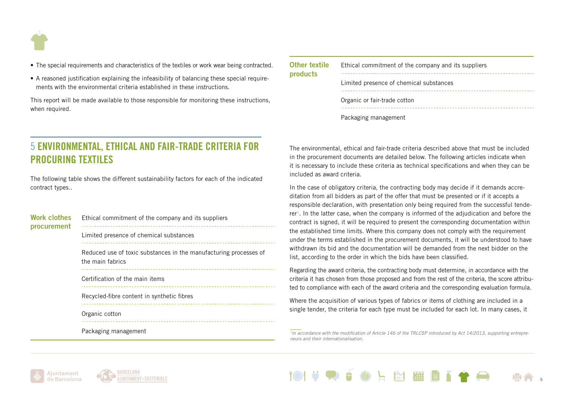

- The special requirements and characteristics of the textiles or work wear being contracted.
- A reasoned justification explaining the infeasibility of balancing these special requirements with the environmental criteria established in these instructions.

This report will be made available to those responsible for monitoring these instructions, when required.

| Other textile<br>products | Ethical commitment of the company and its suppliers |
|---------------------------|-----------------------------------------------------|
|                           | Limited presence of chemical substances             |
|                           | Organic or fair-trade cotton                        |
|                           | Packaging management                                |

# 5 ENVIRONMENTAL, ETHICAL AND FAIR-TRADE CRITERIA FOR PROCURING TEXTILES

The following table shows the different sustainability factors for each of the indicated contract types..

| Work clothes<br>procurement | Ethical commitment of the company and its suppliers                                   |
|-----------------------------|---------------------------------------------------------------------------------------|
|                             | Limited presence of chemical substances                                               |
|                             | Reduced use of toxic substances in the manufacturing processes of<br>the main fabrics |
|                             | Certification of the main items                                                       |
|                             | Recycled-fibre content in synthetic fibres                                            |
|                             | Organic cotton                                                                        |
|                             | Packaging management                                                                  |

The environmental, ethical and fair-trade criteria described above that must be included in the procurement documents are detailed below. The following articles indicate when it is necessary to include these criteria as technical specifications and when they can be included as award criteria.

In the case of obligatory criteria, the contracting body may decide if it demands accreditation from all bidders as part of the offer that must be presented or if it accepts a responsible declaration, with presentation only being required from the successful tende- $\mathbf{r}$  ln the latter case, when the company is informed of the adjudication and before the contract is signed, it will be required to present the corresponding documentation within the established time limits. Where this company does not comply with the requirement under the terms established in the procurement documents, it will be understood to have withdrawn its bid and the documentation will be demanded from the next bidder on the list, according to the order in which the bids have been classified.

Regarding the award criteria, the contracting body must determine, in accordance with the criteria it has chosen from those proposed and from the rest of the criteria, the score attributed to compliance with each of the award criteria and the corresponding evaluation formula.

Where the acquisition of various types of fabrics or items of clothing are included in a single tender, the criteria for each type must be included for each lot. In many cases, it

*1In accordance with the modification of Article 146 of the TRLCSP introduced by Act 14/2013, supporting entrepreneurs and their internationalisation.* 





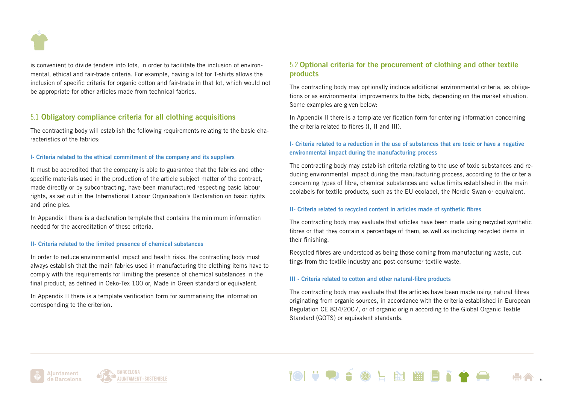

is convenient to divide tenders into lots, in order to facilitate the inclusion of environmental, ethical and fair-trade criteria. For example, having a lot for T-shirts allows the inclusion of specific criteria for organic cotton and fair-trade in that lot, which would not be appropriate for other articles made from technical fabrics.

### 5.1 Obligatory compliance criteria for all clothing acquisitions

The contracting body will establish the following requirements relating to the basic characteristics of the fabrics:

#### I- Criteria related to the ethical commitment of the company and its suppliers

It must be accredited that the company is able to guarantee that the fabrics and other specific materials used in the production of the article subject matter of the contract, made directly or by subcontracting, have been manufactured respecting basic labour rights, as set out in the International Labour Organisation's Declaration on basic rights and principles.

In Appendix I there is a declaration template that contains the minimum information needed for the accreditation of these criteria.

#### II- Criteria related to the limited presence of chemical substances

In order to reduce environmental impact and health risks, the contracting body must always establish that the main fabrics used in manufacturing the clothing items have to comply with the requirements for limiting the presence of chemical substances in the final product, as defined in Oeko-Tex 100 or, Made in Green standard or equivalent.

In Appendix II there is a template verification form for summarising the information corresponding to the criterion.

### 5.2 Optional criteria for the procurement of clothing and other textile products

The contracting body may optionally include additional environmental criteria, as obligations or as environmental improvements to the bids, depending on the market situation. Some examples are given below:

In Appendix II there is a template verification form for entering information concerning the criteria related to fibres (I, II and III).

### I- Criteria related to a reduction in the use of substances that are toxic or have a negative environmental impact during the manufacturing process

The contracting body may establish criteria relating to the use of toxic substances and reducing environmental impact during the manufacturing process, according to the criteria concerning types of fibre, chemical substances and value limits established in the main ecolabels for textile products, such as the EU ecolabel, the Nordic Swan or equivalent.

#### II- Criteria related to recycled content in articles made of synthetic fibres

The contracting body may evaluate that articles have been made using recycled synthetic fibres or that they contain a percentage of them, as well as including recycled items in their finishing.

Recycled fibres are understood as being those coming from manufacturing waste, cuttings from the textile industry and post-consumer textile waste.

#### III - Criteria related to cotton and other natural-fibre products

The contracting body may evaluate that the articles have been made using natural fibres originating from organic sources, in accordance with the criteria established in European Regulation CE 834/2007, or of organic origin according to the Global Organic Textile Standard (GOTS) or equivalent standards.

N HET



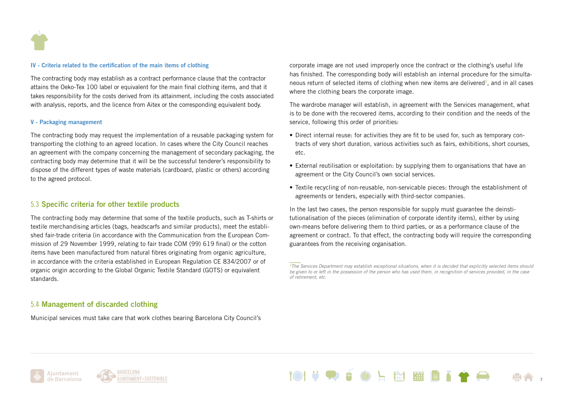

#### IV - Criteria related to the certification of the main items of clothing

The contracting body may establish as a contract performance clause that the contractor attains the Oeko-Tex 100 label or equivalent for the main final clothing items, and that it takes responsibility for the costs derived from its attainment, including the costs associated with analysis, reports, and the licence from Aitex or the corresponding equivalent body.

#### V - Packaging management

The contracting body may request the implementation of a reusable packaging system for transporting the clothing to an agreed location. In cases where the City Council reaches an agreement with the company concerning the management of secondary packaging, the contracting body may determine that it will be the successful tenderer's responsibility to dispose of the different types of waste materials (cardboard, plastic or others) according to the agreed protocol.

### 5.3 Specific criteria for other textile products

The contracting body may determine that some of the textile products, such as T-shirts or textile merchandising articles (bags, headscarfs and similar products), meet the established fair-trade criteria (in accordance with the Communication from the European Commission of 29 November 1999, relating to fair trade COM (99) 619 final) or the cotton items have been manufactured from natural fibres originating from organic agriculture, in accordance with the criteria established in European Regulation CE 834/2007 or of organic origin according to the Global Organic Textile Standard (GOTS) or equivalent standards.

### corporate image are not used improperly once the contract or the clothing's useful life has finished. The corresponding body will establish an internal procedure for the simultaneous return of selected items of clothing when new items are delivered<sup>2</sup>, and in all cases where the clothing bears the corporate image.

The wardrobe manager will establish, in agreement with the Services management, what is to be done with the recovered items, according to their condition and the needs of the service, following this order of priorities:

- Direct internal reuse: for activities they are fit to be used for, such as temporary contracts of very short duration, various activities such as fairs, exhibitions, short courses, etc.
- External reutilisation or exploitation: by supplying them to organisations that have an agreement or the City Council's own social services.
- Textile recycling of non-reusable, non-servicable pieces: through the establishment of agreements or tenders, especially with third-sector companies.

In the last two cases, the person responsible for supply must guarantee the deinstitutionalisation of the pieces (elimination of corporate identity items), either by using own-means before delivering them to third parties, or as a performance clause of the agreement or contract. To that effect, the contracting body will require the corresponding guarantees from the receiving organisation.

### 5.4 Management of discarded clothing

Municipal services must take care that work clothes bearing Barcelona City Council's







*<sup>2</sup>The Services Department may establish exceptional situations, when it is decided that explicitly selected items should be given to or left in the possession of the person who has used them, in recognition of services provided, in the case of retirement, etc.*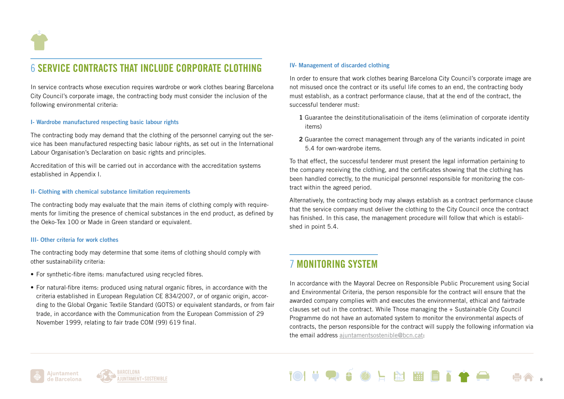

# **6 SERVICE CONTRACTS THAT INCLUDE CORPORATE CLOTHING**

In service contracts whose execution requires wardrobe or work clothes bearing Barcelona City Council's corporate image, the contracting body must consider the inclusion of the following environmental criteria:

#### I- Wardrobe manufactured respecting basic labour rights

The contracting body may demand that the clothing of the personnel carrying out the service has been manufactured respecting basic labour rights, as set out in the International Labour Organisation's Declaration on basic rights and principles.

Accreditation of this will be carried out in accordance with the accreditation systems established in Appendix I.

#### II- Clothing with chemical substance limitation requirements

The contracting body may evaluate that the main items of clothing comply with requirements for limiting the presence of chemical substances in the end product, as defined by the Oeko-Tex 100 or Made in Green standard or equivalent.

#### III- Other criteria for work clothes

The contracting body may determine that some items of clothing should comply with other sustainability criteria:

- For synthetic-fibre items: manufactured using recycled fibres.
- For natural-fibre items: produced using natural organic fibres, in accordance with the criteria established in European Regulation CE 834/2007, or of organic origin, according to the Global Organic Textile Standard (GOTS) or equivalent standards, or from fair trade, in accordance with the Communication from the European Commission of 29 November 1999, relating to fair trade COM (99) 619 final.

#### IV- Management of discarded clothing

In order to ensure that work clothes bearing Barcelona City Council's corporate image are not misused once the contract or its useful life comes to an end, the contracting body must establish, as a contract performance clause, that at the end of the contract, the successful tenderer must:

- 1 Guarantee the deinstitutionalisatioin of the items (elimination of corporate identity items)
- 2 Guarantee the correct management through any of the variants indicated in point 5.4 for own-wardrobe items.

To that effect, the successful tenderer must present the legal information pertaining to the company receiving the clothing, and the certificates showing that the clothing has been handled correctly, to the municipal personnel responsible for monitoring the contract within the agreed period.

Alternatively, the contracting body may always establish as a contract performance clause that the service company must deliver the clothing to the City Council once the contract has finished. In this case, the management procedure will follow that which is established in point 5.4.

# 7 MONITORING SYSTEM

In accordance with the Mayoral Decree on Responsible Public Procurement using Social and Environmental Criteria, the person responsible for the contract will ensure that the awarded company complies with and executes the environmental, ethical and fairtrade clauses set out in the contract. While Those managing the + Sustainable City Council Programme do not have an automated system to monitor the environmental aspects of contracts, the person responsible for the contract will supply the following information via the email address [ajuntamentsostenible@bcn.cat](mailto:ajuntamentsostenible%40bcn.cat?subject=):

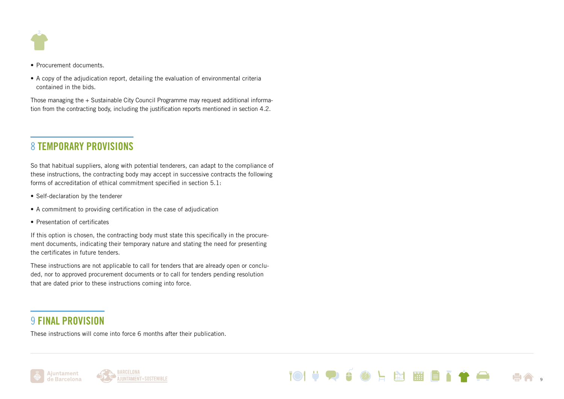

- Procurement documents.
- A copy of the adjudication report, detailing the evaluation of environmental criteria contained in the bids.

Those managing the + Sustainable City Council Programme may request additional information from the contracting body, including the justification reports mentioned in section 4.2.

# 8 TEMPORARY PROVISIONS

So that habitual suppliers, along with potential tenderers, can adapt to the compliance of these instructions, the contracting body may accept in successive contracts the following forms of accreditation of ethical commitment specified in section 5.1:

- Self-declaration by the tenderer
- A commitment to providing certification in the case of adjudication
- Presentation of certificates

If this option is chosen, the contracting body must state this specifically in the procurement documents, indicating their temporary nature and stating the need for presenting the certificates in future tenders.

These instructions are not applicable to call for tenders that are already open or concluded, nor to approved procurement documents or to call for tenders pending resolution that are dated prior to these instructions coming into force.

# 9 FINAL PROVISION

These instructions will come into force 6 months after their publication.





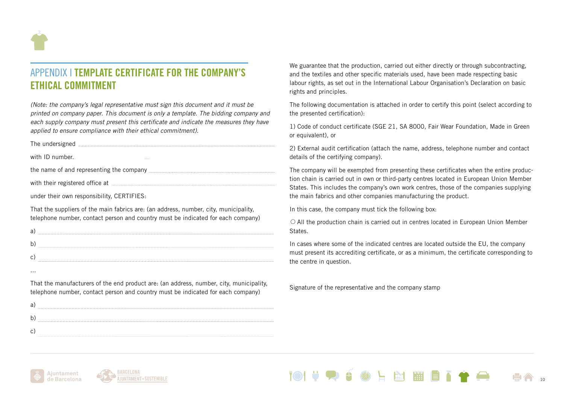

# APPENDIX I TEMPLATE CERTIFICATE FOR THE COMPANY'S ETHICAL COMMITMENT

*(Note: the company's legal representative must sign this document and it must be printed on company paper. This document is only a template. The bidding company and each supply company must present this certificate and indicate the measures they have applied to ensure compliance with their ethical commitment).*

|                 | The undersigned <b>with a construction of the construction</b> of the university of the understanding of the university of the university of the university of the university of the university of the university of the university |
|-----------------|-------------------------------------------------------------------------------------------------------------------------------------------------------------------------------------------------------------------------------------|
| with ID number. |                                                                                                                                                                                                                                     |
|                 |                                                                                                                                                                                                                                     |
|                 |                                                                                                                                                                                                                                     |
|                 |                                                                                                                                                                                                                                     |
|                 |                                                                                                                                                                                                                                     |

under their own responsibility, CERTIFIES:

That the suppliers of the main fabrics are: (an address, number, city, municipality, telephone number, contact person and country must be indicated for each company)

That the manufacturers of the end product are: (an address, number, city, municipality, telephone number, contact person and country must be indicated for each company)

a) b) c) 

We guarantee that the production, carried out either directly or through subcontracting, and the textiles and other specific materials used, have been made respecting basic labour rights, as set out in the International Labour Organisation's Declaration on basic rights and principles.

The following documentation is attached in order to certify this point (select according to the presented certification):

1) Code of conduct certificate (SGE 21, SA 8000, Fair Wear Foundation, Made in Green or equivalent), or

2) External audit certification (attach the name, address, telephone number and contact details of the certifying company).

The company will be exempted from presenting these certificates when the entire production chain is carried out in own or third-party centres located in European Union Member States. This includes the company's own work centres, those of the companies supplying the main fabrics and other companies manufacturing the product.

In this case, the company must tick the following box:

 $\circ$  All the production chain is carried out in centres located in European Union Member **States** 

In cases where some of the indicated centres are located outside the EU, the company must present its accrediting certificate, or as a minimum, the certificate corresponding to the centre in question.

Signature of the representative and the company stamp





...

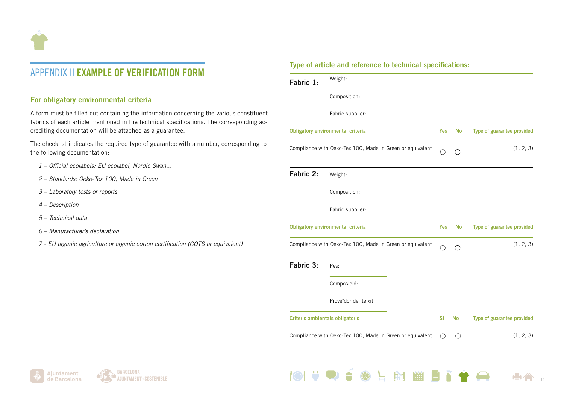

# APPENDIX II EXAMPLE OF VERIFICATION FORM

### For obligatory environmental criteria

A form must be filled out containing the information concerning the various constituent fabrics of each article mentioned in the technical specifications. The corresponding accrediting documentation will be attached as a guarantee.

The checklist indicates the required type of guarantee with a number, corresponding to the following documentation:

- *1 Official ecolabels: EU ecolabel, Nordic Swan...*
- *2 Standards: Oeko-Tex 100, Made in Green*
- *3 Laboratory tests or reports*
- *4 Description*
- *5 Technical data*
- *6 Manufacturer's declaration*
- *7 EU organic agriculture or organic cotton certification (GOTS or equivalent)*

### Type of article and reference to technical specifications:

| Fabric 1:                              | Weight:                                                   |                 |                   |                            |
|----------------------------------------|-----------------------------------------------------------|-----------------|-------------------|----------------------------|
|                                        | Composition:                                              |                 |                   |                            |
|                                        | Fabric supplier:                                          |                 |                   |                            |
|                                        | <b>Obligatory environmental criteria</b>                  | <b>Yes</b>      | <b>No</b>         | Type of guarantee provided |
|                                        | Compliance with Oeko-Tex 100, Made in Green or equivalent | ∩               | $\left(\ \right)$ | (1, 2, 3)                  |
| Fabric 2:                              | Weight:                                                   |                 |                   |                            |
|                                        | Composition:                                              |                 |                   |                            |
|                                        | Fabric supplier:                                          |                 |                   |                            |
|                                        | <b>Obligatory environmental criteria</b>                  | Yes             | <b>No</b>         | Type of guarantee provided |
|                                        | Compliance with Oeko-Tex 100, Made in Green or equivalent |                 | ()                | (1, 2, 3)                  |
| Fabric 3:                              | Pes:                                                      |                 |                   |                            |
|                                        | Composició:                                               |                 |                   |                            |
|                                        | Proveïdor del teixit:                                     |                 |                   |                            |
| <b>Criteris ambientals obligatoris</b> |                                                           | Sí              | <b>No</b>         | Type of guarantee provided |
|                                        | Compliance with Oeko-Tex 100, Made in Green or equivalent | $\left(\right)$ | ∩                 | (1, 2, 3)                  |

上全開開日

**TO!** 

11

 $\blacktriangle$